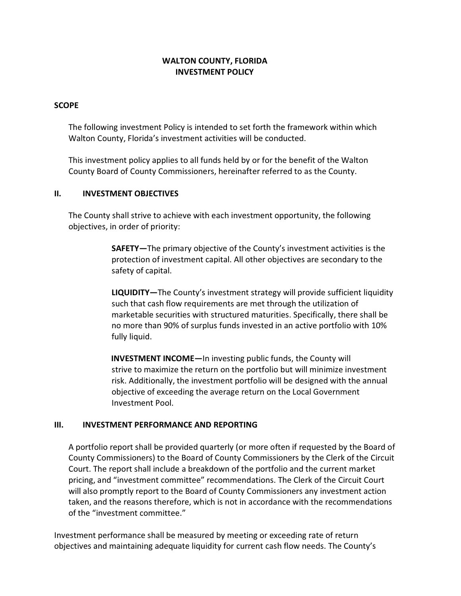# WALTON COUNTY, FLORIDA INVESTMENT POLICY

### **SCOPE**

The following investment Policy is intended to set forth the framework within which Walton County, Florida's investment activities will be conducted.

This investment policy applies to all funds held by or for the benefit of the Walton County Board of County Commissioners, hereinafter referred to as the County.

### II. INVESTMENT OBJECTIVES

The County shall strive to achieve with each investment opportunity, the following objectives, in order of priority:

> SAFETY—The primary objective of the County's investment activities is the protection of investment capital. All other objectives are secondary to the safety of capital.

LIQUIDITY—The County's investment strategy will provide sufficient liquidity such that cash flow requirements are met through the utilization of marketable securities with structured maturities. Specifically, there shall be no more than 90% of surplus funds invested in an active portfolio with 10% fully liquid.

INVESTMENT INCOME—In investing public funds, the County will strive to maximize the return on the portfolio but will minimize investment risk. Additionally, the investment portfolio will be designed with the annual objective of exceeding the average return on the Local Government Investment Pool.

## III. INVESTMENT PERFORMANCE AND REPORTING

A portfolio report shall be provided quarterly (or more often if requested by the Board of County Commissioners) to the Board of County Commissioners by the Clerk of the Circuit Court. The report shall include a breakdown of the portfolio and the current market pricing, and "investment committee" recommendations. The Clerk of the Circuit Court will also promptly report to the Board of County Commissioners any investment action taken, and the reasons therefore, which is not in accordance with the recommendations of the "investment committee."

Investment performance shall be measured by meeting or exceeding rate of return objectives and maintaining adequate liquidity for current cash flow needs. The County's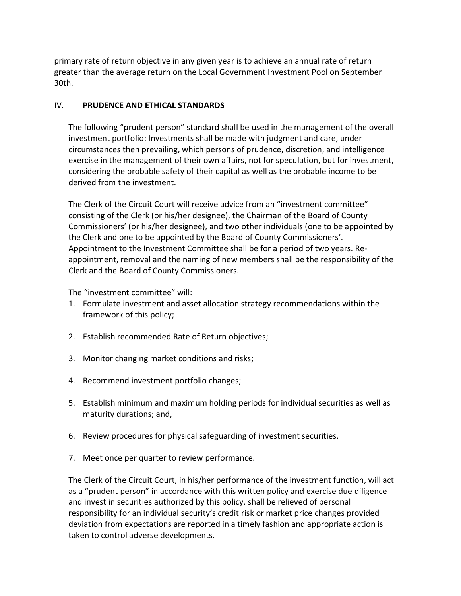primary rate of return objective in any given year is to achieve an annual rate of return greater than the average return on the Local Government Investment Pool on September 30th.

## IV. PRUDENCE AND ETHICAL STANDARDS

The following "prudent person" standard shall be used in the management of the overall investment portfolio: Investments shall be made with judgment and care, under circumstances then prevailing, which persons of prudence, discretion, and intelligence exercise in the management of their own affairs, not for speculation, but for investment, considering the probable safety of their capital as well as the probable income to be derived from the investment.

The Clerk of the Circuit Court will receive advice from an "investment committee" consisting of the Clerk (or his/her designee), the Chairman of the Board of County Commissioners' (or his/her designee), and two other individuals (one to be appointed by the Clerk and one to be appointed by the Board of County Commissioners'. Appointment to the Investment Committee shall be for a period of two years. Reappointment, removal and the naming of new members shall be the responsibility of the Clerk and the Board of County Commissioners.

The "investment committee" will:

- 1. Formulate investment and asset allocation strategy recommendations within the framework of this policy;
- 2. Establish recommended Rate of Return objectives;
- 3. Monitor changing market conditions and risks;
- 4. Recommend investment portfolio changes;
- 5. Establish minimum and maximum holding periods for individual securities as well as maturity durations; and,
- 6. Review procedures for physical safeguarding of investment securities.
- 7. Meet once per quarter to review performance.

The Clerk of the Circuit Court, in his/her performance of the investment function, will act as a "prudent person" in accordance with this written policy and exercise due diligence and invest in securities authorized by this policy, shall be relieved of personal responsibility for an individual security's credit risk or market price changes provided deviation from expectations are reported in a timely fashion and appropriate action is taken to control adverse developments.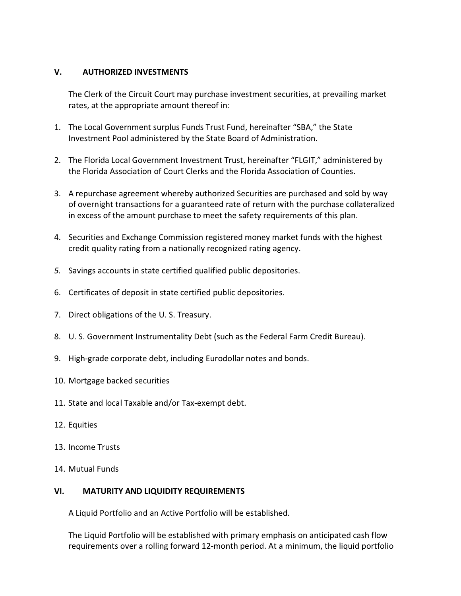# V. AUTHORIZED INVESTMENTS

The Clerk of the Circuit Court may purchase investment securities, at prevailing market rates, at the appropriate amount thereof in:

- 1. The Local Government surplus Funds Trust Fund, hereinafter "SBA," the State Investment Pool administered by the State Board of Administration.
- 2. The Florida Local Government Investment Trust, hereinafter "FLGIT," administered by the Florida Association of Court Clerks and the Florida Association of Counties.
- 3. A repurchase agreement whereby authorized Securities are purchased and sold by way of overnight transactions for a guaranteed rate of return with the purchase collateralized in excess of the amount purchase to meet the safety requirements of this plan.
- 4. Securities and Exchange Commission registered money market funds with the highest credit quality rating from a nationally recognized rating agency.
- 5. Savings accounts in state certified qualified public depositories.
- 6. Certificates of deposit in state certified public depositories.
- 7. Direct obligations of the U. S. Treasury.
- 8. U. S. Government Instrumentality Debt (such as the Federal Farm Credit Bureau).
- 9. High-grade corporate debt, including Eurodollar notes and bonds.
- 10. Mortgage backed securities
- 11. State and local Taxable and/or Tax-exempt debt.
- 12. Equities
- 13. Income Trusts
- 14. Mutual Funds

## VI. MATURITY AND LIQUIDITY REQUIREMENTS

A Liquid Portfolio and an Active Portfolio will be established.

The Liquid Portfolio will be established with primary emphasis on anticipated cash flow requirements over a rolling forward 12-month period. At a minimum, the liquid portfolio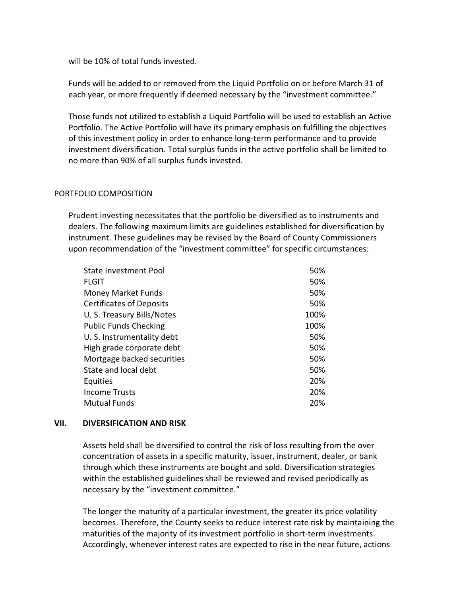will be 10% of total funds invested.

Funds will be added to or removed from the Liquid Portfolio on or before March 31 of each year, or more frequently if deemed necessary by the "investment committee."

Those funds not utilized to establish a Liquid Portfolio will be used to establish an Active Portfolio. The Active Portfolio will have its primary emphasis on fulfilling the objectives of this investment policy in order to enhance long-term performance and to provide investment diversification. Total surplus funds in the active portfolio shall be limited to no more than 90% of all surplus funds invested.

### PORTFOLIO COMPOSITION

Prudent investing necessitates that the portfolio be diversified as to instruments and dealers. The following maximum limits are guidelines established for diversification by instrument. These guidelines may be revised by the Board of County Commissioners upon recommendation of the "investment committee" for specific circumstances:

| <b>State Investment Pool</b>    | 50%  |
|---------------------------------|------|
| <b>FLGIT</b>                    | 50%  |
| <b>Money Market Funds</b>       | 50%  |
| <b>Certificates of Deposits</b> | 50%  |
| U.S. Treasury Bills/Notes       | 100% |
| <b>Public Funds Checking</b>    | 100% |
| U.S. Instrumentality debt       | 50%  |
| High grade corporate debt       | 50%  |
| Mortgage backed securities      | 50%  |
| State and local debt            | 50%  |
| Equities                        | 20%  |
| <b>Income Trusts</b>            | 20%  |
| <b>Mutual Funds</b>             | 20%  |

#### VII. DIVERSIFICATION AND RISK

Assets held shall be diversified to control the risk of loss resulting from the over concentration of assets in a specific maturity, issuer, instrument, dealer, or bank through which these instruments are bought and sold. Diversification strategies within the established guidelines shall be reviewed and revised periodically as necessary by the "investment committee."

The longer the maturity of a particular investment, the greater its price volatility becomes. Therefore, the County seeks to reduce interest rate risk by maintaining the maturities of the majority of its investment portfolio in short-term investments. Accordingly, whenever interest rates are expected to rise in the near future, actions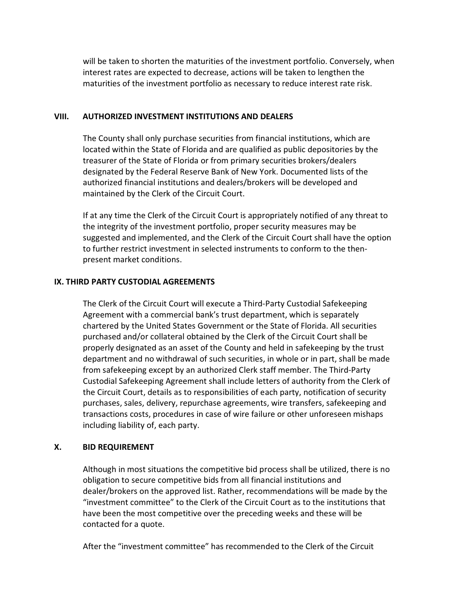will be taken to shorten the maturities of the investment portfolio. Conversely, when interest rates are expected to decrease, actions will be taken to lengthen the maturities of the investment portfolio as necessary to reduce interest rate risk.

#### VIII. AUTHORIZED INVESTMENT INSTITUTIONS AND DEALERS

The County shall only purchase securities from financial institutions, which are located within the State of Florida and are qualified as public depositories by the treasurer of the State of Florida or from primary securities brokers/dealers designated by the Federal Reserve Bank of New York. Documented lists of the authorized financial institutions and dealers/brokers will be developed and maintained by the Clerk of the Circuit Court.

If at any time the Clerk of the Circuit Court is appropriately notified of any threat to the integrity of the investment portfolio, proper security measures may be suggested and implemented, and the Clerk of the Circuit Court shall have the option to further restrict investment in selected instruments to conform to the thenpresent market conditions.

## IX. THIRD PARTY CUSTODIAL AGREEMENTS

The Clerk of the Circuit Court will execute a Third-Party Custodial Safekeeping Agreement with a commercial bank's trust department, which is separately chartered by the United States Government or the State of Florida. All securities purchased and/or collateral obtained by the Clerk of the Circuit Court shall be properly designated as an asset of the County and held in safekeeping by the trust department and no withdrawal of such securities, in whole or in part, shall be made from safekeeping except by an authorized Clerk staff member. The Third-Party Custodial Safekeeping Agreement shall include letters of authority from the Clerk of the Circuit Court, details as to responsibilities of each party, notification of security purchases, sales, delivery, repurchase agreements, wire transfers, safekeeping and transactions costs, procedures in case of wire failure or other unforeseen mishaps including liability of, each party.

## X. BID REQUIREMENT

Although in most situations the competitive bid process shall be utilized, there is no obligation to secure competitive bids from all financial institutions and dealer/brokers on the approved list. Rather, recommendations will be made by the "investment committee" to the Clerk of the Circuit Court as to the institutions that have been the most competitive over the preceding weeks and these will be contacted for a quote.

After the "investment committee" has recommended to the Clerk of the Circuit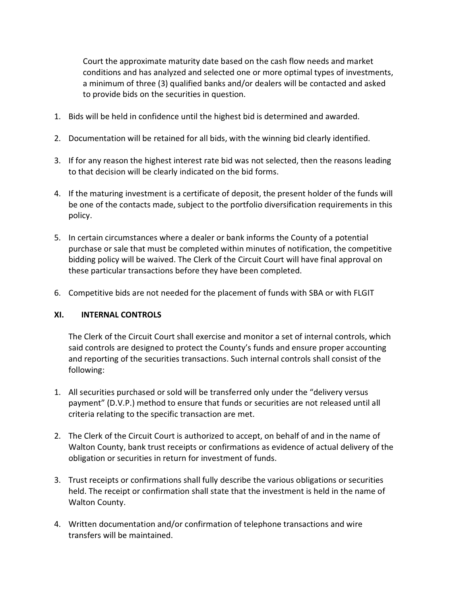Court the approximate maturity date based on the cash flow needs and market conditions and has analyzed and selected one or more optimal types of investments, a minimum of three (3) qualified banks and/or dealers will be contacted and asked to provide bids on the securities in question.

- 1. Bids will be held in confidence until the highest bid is determined and awarded.
- 2. Documentation will be retained for all bids, with the winning bid clearly identified.
- 3. If for any reason the highest interest rate bid was not selected, then the reasons leading to that decision will be clearly indicated on the bid forms.
- 4. If the maturing investment is a certificate of deposit, the present holder of the funds will be one of the contacts made, subject to the portfolio diversification requirements in this policy.
- 5. In certain circumstances where a dealer or bank informs the County of a potential purchase or sale that must be completed within minutes of notification, the competitive bidding policy will be waived. The Clerk of the Circuit Court will have final approval on these particular transactions before they have been completed.
- 6. Competitive bids are not needed for the placement of funds with SBA or with FLGIT

## XI. INTERNAL CONTROLS

The Clerk of the Circuit Court shall exercise and monitor a set of internal controls, which said controls are designed to protect the County's funds and ensure proper accounting and reporting of the securities transactions. Such internal controls shall consist of the following:

- 1. All securities purchased or sold will be transferred only under the "delivery versus payment" (D.V.P.) method to ensure that funds or securities are not released until all criteria relating to the specific transaction are met.
- 2. The Clerk of the Circuit Court is authorized to accept, on behalf of and in the name of Walton County, bank trust receipts or confirmations as evidence of actual delivery of the obligation or securities in return for investment of funds.
- 3. Trust receipts or confirmations shall fully describe the various obligations or securities held. The receipt or confirmation shall state that the investment is held in the name of Walton County.
- 4. Written documentation and/or confirmation of telephone transactions and wire transfers will be maintained.